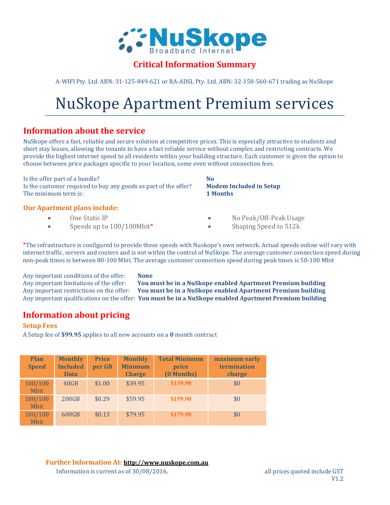

### Critical Information Summary

A-WIFI Pty. Ltd. ABN: 31-125-849-621 or RA-ADSL Pty. Ltd. ABN: 32-158-560-671 trading as NuSkope

# NuSkope Apartment Premium services

# Information about the service

NuSkope offers a fast, reliable and secure solution at competitive prices. This is especially attractive to students and short stay leases, allowing the tenants to have a fast reliable service without complex and restricting contracts. We provide the highest internet speed to all residents within your building structure. Each customer is given the option to choose between price packages specific to your location, some even without connection fees.

Is the offer part of a bundle? Is the customer required to buy any goods as part of the offer? Modem Included in Setup The minimum term is: **1 Months** 

#### Our Apartment plans include:

- One Static IP
- Speeds up to  $100/100$ Mbit<sup>\*</sup>

- No Peak/Off-Peak Usage
- Shaping Speed to 512k

\*The infrastructure is configured to provide these speeds with Nuskope's own network. Actual speeds online will vary with internet traffic, servers and routers and is not within the control of NuSkope. The average customer connection speed during non-peak times is between 80-100 Mbit. The average customer connection speed during peak times is 50-100 Mbit

Any important conditions of the offer: None

Any important limitations of the offer: You must be in a NuSkope enabled Apartment Premium building Any important restrictions on the offer: You must be in a NuSkope enabled Apartment Premium building Any important qualifications on the offer: You must be in a NuSkope enabled Apartment Premium building

# Information about pricing

#### Setup Fees

A Setup fee of \$99.95 applies to all new accounts on a 0 month contract

| <b>Plan</b><br><b>Speed</b> | <b>Monthly</b><br><b>Included</b><br><b>Data</b> | <b>Price</b><br>per GB | <b>Monthly</b><br><b>Minimum</b><br><b>Charge</b> | <b>Total Minimum</b><br>price<br>(0 Months) | maximum early<br>termination<br>charge |
|-----------------------------|--------------------------------------------------|------------------------|---------------------------------------------------|---------------------------------------------|----------------------------------------|
| 100/100<br><b>Mbit</b>      | 40GB                                             | \$1.00                 | \$39.95                                           | \$139.90                                    | \$0                                    |
| 100/100<br><b>Mbit</b>      | <b>200GB</b>                                     | \$0.29                 | \$59.95                                           | \$159.90                                    | \$0                                    |
| 100/100<br><b>Mbit</b>      | 600GB                                            | \$0.13                 | \$79.95                                           | \$179.90                                    | \$0                                    |

Further Information At: http://www.nuskope.com.au Information is current as of  $30/08/2016$ , all prices quoted include GST